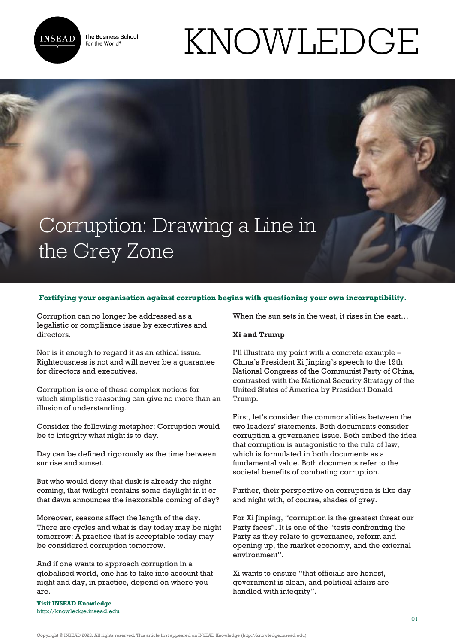

The Business School for the World<sup>®</sup>

# Corruption: Drawing a Line in the Grey Zone

## **Fortifying your organisation against corruption begins with questioning your own incorruptibility.**

Corruption can no longer be addressed as a legalistic or compliance issue by executives and directors.

Nor is it enough to regard it as an ethical issue. Righteousness is not and will never be a guarantee for directors and executives.

Corruption is one of these complex notions for which simplistic reasoning can give no more than an illusion of understanding.

Consider the following metaphor: Corruption would be to integrity what night is to day.

Day can be defined rigorously as the time between sunrise and sunset.

But who would deny that dusk is already the night coming, that twilight contains some daylight in it or that dawn announces the inexorable coming of day?

Moreover, seasons affect the length of the day. There are cycles and what is day today may be night tomorrow: A practice that is acceptable today may be considered corruption tomorrow.

And if one wants to approach corruption in a globalised world, one has to take into account that night and day, in practice, depend on where you are.

**Visit INSEAD Knowledge** <http://knowledge.insead.edu> When the sun sets in the west, it rises in the east…

KNOWLEDGE

### **Xi and Trump**

I'll illustrate my point with a concrete example – China's President Xi Jinping's speech to the 19th National Congress of the Communist Party of China, contrasted with the National Security Strategy of the United States of America by President Donald Trump.

First, let's consider the commonalities between the two leaders' statements. Both documents consider corruption a governance issue. Both embed the idea that corruption is antagonistic to the rule of law, which is formulated in both documents as a fundamental value. Both documents refer to the societal benefits of combating corruption.

Further, their perspective on corruption is like day and night with, of course, shades of grey.

For Xi Jinping, "corruption is the greatest threat our Party faces". It is one of the "tests confronting the Party as they relate to governance, reform and opening up, the market economy, and the external environment".

Xi wants to ensure "that officials are honest, government is clean, and political affairs are handled with integrity".

Copyright © INSEAD 2022. All rights reserved. This article first appeared on INSEAD Knowledge (http://knowledge.insead.edu).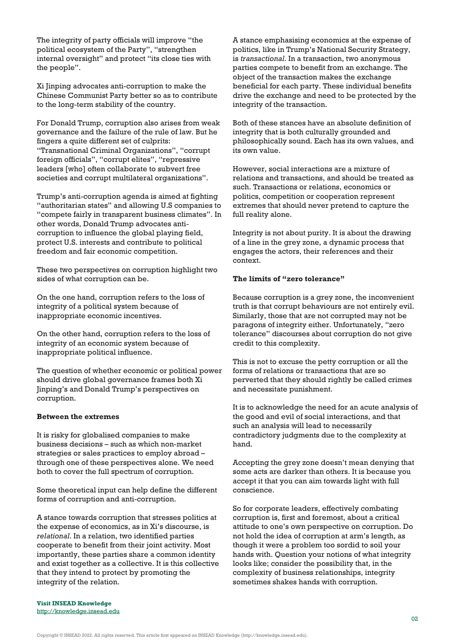The integrity of party officials will improve "the political ecosystem of the Party", "strengthen internal oversight" and protect "its close ties with the people".

Xi Jinping advocates anti-corruption to make the Chinese Communist Party better so as to contribute to the long-term stability of the country.

For Donald Trump, corruption also arises from weak governance and the failure of the rule of law. But he fingers a quite different set of culprits: "Transnational Criminal Organizations", "corrupt foreign officials", "corrupt elites", "repressive leaders [who] often collaborate to subvert free societies and corrupt multilateral organizations".

Trump's anti-corruption agenda is aimed at fighting "authoritarian states" and allowing U.S companies to "compete fairly in transparent business climates". In other words, Donald Trump advocates anticorruption to influence the global playing field, protect U.S. interests and contribute to political freedom and fair economic competition.

These two perspectives on corruption highlight two sides of what corruption can be.

On the one hand, corruption refers to the loss of integrity of a political system because of inappropriate economic incentives.

On the other hand, corruption refers to the loss of integrity of an economic system because of inappropriate political influence.

The question of whether economic or political power should drive global governance frames both Xi Jinping's and Donald Trump's perspectives on corruption.

### **Between the extremes**

It is risky for globalised companies to make business decisions – such as which non-market strategies or sales practices to employ abroad – through one of these perspectives alone. We need both to cover the full spectrum of corruption.

Some theoretical input can help define the different forms of corruption and anti-corruption.

A stance towards corruption that stresses politics at the expense of economics, as in Xi's discourse, is *relational*. In a relation, two identified parties cooperate to benefit from their joint activity. Most importantly, these parties share a common identity and exist together as a collective. It is this collective that they intend to protect by promoting the integrity of the relation.

A stance emphasising economics at the expense of politics, like in Trump's National Security Strategy, is *transactional*. In a transaction, two anonymous parties compete to benefit from an exchange. The object of the transaction makes the exchange beneficial for each party. These individual benefits drive the exchange and need to be protected by the integrity of the transaction.

Both of these stances have an absolute definition of integrity that is both culturally grounded and philosophically sound. Each has its own values, and its own value.

However, social interactions are a mixture of relations and transactions, and should be treated as such. Transactions or relations, economics or politics, competition or cooperation represent extremes that should never pretend to capture the full reality alone.

Integrity is not about purity. It is about the drawing of a line in the grey zone, a dynamic process that engages the actors, their references and their context.

#### **The limits of "zero tolerance"**

Because corruption is a grey zone, the inconvenient truth is that corrupt behaviours are not entirely evil. Similarly, those that are not corrupted may not be paragons of integrity either. Unfortunately, "zero tolerance" discourses about corruption do not give credit to this complexity.

This is not to excuse the petty corruption or all the forms of relations or transactions that are so perverted that they should rightly be called crimes and necessitate punishment.

It is to acknowledge the need for an acute analysis of the good and evil of social interactions, and that such an analysis will lead to necessarily contradictory judgments due to the complexity at hand.

Accepting the grey zone doesn't mean denying that some acts are darker than others. It is because you accept it that you can aim towards light with full conscience.

So for corporate leaders, effectively combating corruption is, first and foremost, about a critical attitude to one's own perspective on corruption. Do not hold the idea of corruption at arm's length, as though it were a problem too sordid to soil your hands with. Question your notions of what integrity looks like; consider the possibility that, in the complexity of business relationships, integrity sometimes shakes hands with corruption.

**Visit INSEAD Knowledge** <http://knowledge.insead.edu>

Copyright © INSEAD 2022. All rights reserved. This article first appeared on INSEAD Knowledge (http://knowledge.insead.edu).